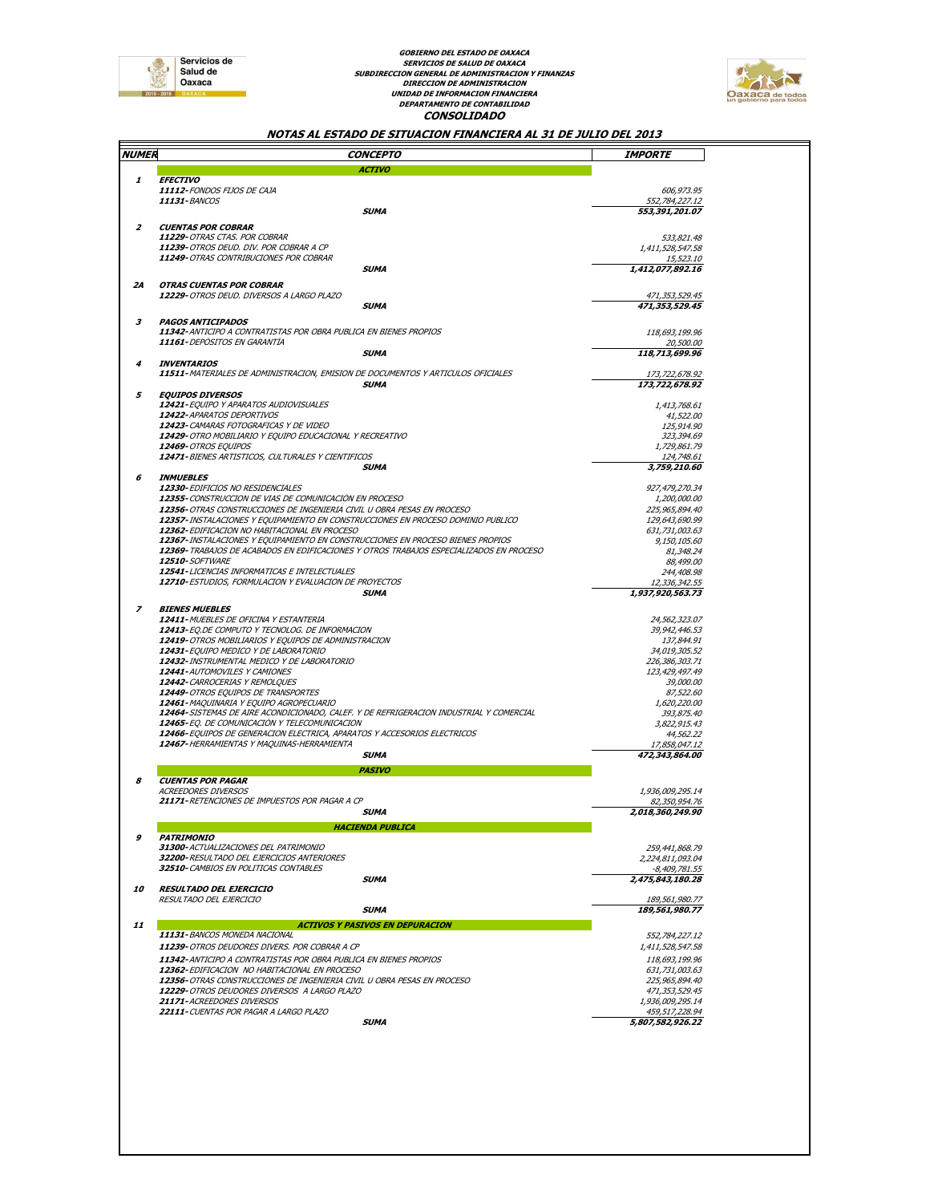

# **DEPARTAMENTO DE CONTABILIDAD CONSOLIDADO GOBIERNO DEL ESTADO DE OAXACA SERVICIOS DE SALUD DE OAXACA SUBDIRECCION GENERAL DE ADMINISTRACION Y FINANZAS DIRECCION DE ADMINISTRACION UNIDAD DE INFORMACION FINANCIERA**



#### **NOTAS AL ESTADO DE SITUACION FINANCIERA AL 31 DE JULIO DEL 2013**

|                     | CONCEPTO                                                                                                                | <i><b>IMPORTE</b></i>                                                                                                                            |
|---------------------|-------------------------------------------------------------------------------------------------------------------------|--------------------------------------------------------------------------------------------------------------------------------------------------|
| <i><b>NUMER</b></i> |                                                                                                                         |                                                                                                                                                  |
|                     | ΑCTIVO                                                                                                                  |                                                                                                                                                  |
| 1                   | <b>EFECTIVO</b>                                                                                                         |                                                                                                                                                  |
|                     | 11112-FONDOS FIJOS DE CAJA                                                                                              | 606,973.95                                                                                                                                       |
|                     | <b>11131-BANCOS</b>                                                                                                     | 552,784,227.12                                                                                                                                   |
|                     | SUMA                                                                                                                    | 553,391,201.07                                                                                                                                   |
| $\overline{z}$      | <b>CUENTAS POR COBRAR</b>                                                                                               |                                                                                                                                                  |
|                     | 11229-OTRAS CTAS. POR COBRAR                                                                                            | 533,821.48                                                                                                                                       |
|                     | 11239-OTROS DEUD. DIV. POR COBRAR A CP                                                                                  | 1,411,528,547.58                                                                                                                                 |
|                     | 11249-OTRAS CONTRIBUCIONES POR COBRAR                                                                                   | 15,523.10                                                                                                                                        |
|                     | SUMA                                                                                                                    | 1,412,077,892.16                                                                                                                                 |
| 24                  | <b>OTRAS CUENTAS POR COBRAR</b>                                                                                         |                                                                                                                                                  |
|                     | 12229-OTROS DEUD. DIVERSOS A LARGO PLAZO                                                                                | 471,353,529.45                                                                                                                                   |
|                     | SUMA                                                                                                                    | 471,353,529.45                                                                                                                                   |
|                     |                                                                                                                         |                                                                                                                                                  |
| 3                   | <b>PAGOS ANTICIPADOS</b>                                                                                                |                                                                                                                                                  |
|                     | 11342- ANTICIPO A CONTRATISTAS POR OBRA PUBLICA EN BIENES PROPIOS                                                       | 118,693,199.96                                                                                                                                   |
|                     | 11161-DEPÓSITOS EN GARANTÍA                                                                                             | 20,500.00                                                                                                                                        |
| 4                   | SUMA<br><b>INVENTARIOS</b>                                                                                              | 118,713,699.96                                                                                                                                   |
|                     | 11511-MATERIALES DE ADMINISTRACION, EMISION DE DOCUMENTOS Y ARTICULOS OFICIALES                                         | 173,722,678.92                                                                                                                                   |
|                     | SUMA                                                                                                                    | 173,722,678.92                                                                                                                                   |
| 5                   | <b>EQUIPOS DIVERSOS</b>                                                                                                 |                                                                                                                                                  |
|                     | 12421-EQUIPO Y APARATOS AUDIOVISUALES                                                                                   | 1,413,768.61                                                                                                                                     |
|                     | 12422-APARATOS DEPORTIVOS                                                                                               | 41,522.00                                                                                                                                        |
|                     | 12423-CAMARAS FOTOGRAFICAS Y DE VIDEO                                                                                   | 125,914.90                                                                                                                                       |
|                     | 12429-OTRO MOBILIARIO Y EQUIPO EDUCACIONAL Y RECREATIVO                                                                 | 323,394.69                                                                                                                                       |
|                     | <b>12469-</b> OTROS EQUIPOS                                                                                             | 1,729,861.79                                                                                                                                     |
|                     | 12471-BIENES ARTISTICOS, CULTURALES Y CIENTIFICOS                                                                       | 124,748.61                                                                                                                                       |
|                     | SUMA                                                                                                                    | 3,759,210.60                                                                                                                                     |
| 6                   | <b>INMUEBLES</b>                                                                                                        |                                                                                                                                                  |
|                     | 12330- EDIFICIOS NO RESIDENCIALES                                                                                       | 927,479,270.34                                                                                                                                   |
|                     | 12355-CONSTRUCCION DE VIAS DE COMUNICACIÓN EN PROCESO                                                                   | <i>1,200,000.00</i>                                                                                                                              |
|                     | 12356- OTRAS CONSTRUCCIONES DE INGENIERIA CIVIL U OBRA PESAS EN PROCESO                                                 | 225,965,894.40                                                                                                                                   |
|                     | 12357-INSTALACIONES Y EQUIPAMIENTO EN CONSTRUCCIONES EN PROCESO DOMINIO PUBLICO                                         | 129,643,690.99                                                                                                                                   |
|                     | 12362-EDIFICACION NO HABITACIONAL EN PROCESO                                                                            | 631,731,003.63                                                                                                                                   |
|                     | 12367-INSTALACIONES Y EQUIPAMIENTO EN CONSTRUCCIONES EN PROCESO BIENES PROPIOS                                          | 9,150,105.60                                                                                                                                     |
|                     | 12369-TRABAJOS DE ACABADOS EN EDIFICACIONES Y OTROS TRABAJOS ESPECIALIZADOS EN PROCESO                                  | 81,348.24                                                                                                                                        |
|                     | <b>12510-SOFTWARE</b>                                                                                                   | 88,499.00                                                                                                                                        |
|                     | 12541-LICENCIAS INFORMATICAS E INTELECTUALES                                                                            | 244,408.98                                                                                                                                       |
|                     | 12710-ESTUDIOS, FORMULACION Y EVALUACION DE PROYECTOS<br>SUMA                                                           | 12,336,342.55<br>1,937,920,563.73                                                                                                                |
|                     |                                                                                                                         |                                                                                                                                                  |
| $\overline{z}$      | <b>BIENES MUEBLES</b>                                                                                                   |                                                                                                                                                  |
|                     | 12411-MUEBLES DE OFICINA Y ESTANTERIA                                                                                   | 24,562,323.07                                                                                                                                    |
|                     | 12413-EQ.DE COMPUTO Y TECNOLOG. DE INFORMACION                                                                          | 39,942,446.53                                                                                                                                    |
|                     | 12419-OTROS MOBILIARIOS Y EQUIPOS DE ADMINISTRACION                                                                     | 137,844.91                                                                                                                                       |
|                     | 12431-EQUIPO MEDICO Y DE LABORATORIO                                                                                    | 34,019,305.52                                                                                                                                    |
|                     | 12432-INSTRUMENTAL MEDICO Y DE LABORATORIO                                                                              | 226,386,303.71                                                                                                                                   |
|                     | 12441-AUTOMOVILES Y CAMIONES                                                                                            | 123,429,497.49                                                                                                                                   |
|                     | 12442-CARROCERIAS Y REMOLOUES                                                                                           | 39,000.00                                                                                                                                        |
|                     | 12449-OTROS EQUIPOS DE TRANSPORTES                                                                                      | <i>87,522.60</i>                                                                                                                                 |
|                     | 12461-MAQUINARIA Y EQUIPO AGROPECUARIO                                                                                  | 1,620,220.00                                                                                                                                     |
|                     | 12464-SISTEMAS DE AIRE ACONDICIONADO, CALEF. Y DE REFRIGERACION INDUSTRIAL Y COMERCIAL                                  | 393,875.40                                                                                                                                       |
|                     | 12465-EQ. DE COMUNICACIÓN Y TELECOMUNICACION<br>12466-EQUIPOS DE GENERACION ELECTRICA, APARATOS Y ACCESORIOS ELECTRICOS | 3,822,915.43<br>44,562.22                                                                                                                        |
|                     | 12467- HERRAMIENTAS Y MAQUINAS-HERRAMIENTA                                                                              | 17,858,047.12                                                                                                                                    |
|                     | SUMA                                                                                                                    | 472,343,864.00                                                                                                                                   |
|                     |                                                                                                                         |                                                                                                                                                  |
|                     | PASIVO                                                                                                                  |                                                                                                                                                  |
| я                   | <b>CUENTAS POR PAGAR</b>                                                                                                |                                                                                                                                                  |
|                     | ACREEDORES DIVERSOS                                                                                                     | 1,936,009,295.14                                                                                                                                 |
|                     | 21171-RETENCIONES DE IMPUESTOS POR PAGAR A CP                                                                           | 82,350,954.76                                                                                                                                    |
|                     | SUMA                                                                                                                    | 2,018,360,249.90                                                                                                                                 |
|                     | <b>HACIENDA PUBLICA</b>                                                                                                 |                                                                                                                                                  |
| 9                   | <i><b>PATRIMONIO</b></i>                                                                                                |                                                                                                                                                  |
|                     | 31300-ACTUALIZACIONES DEL PATRIMONIO                                                                                    | 259,441,868.79                                                                                                                                   |
|                     | 32200-RESULTADO DEL EJERCICIOS ANTERIORES                                                                               | 2,224,811,093.04                                                                                                                                 |
|                     | 32510-CAMBIOS EN POLITICAS CONTABLES                                                                                    | -8,409,781.55                                                                                                                                    |
|                     |                                                                                                                         |                                                                                                                                                  |
|                     | SUMA                                                                                                                    |                                                                                                                                                  |
| 10                  | <b>RESULTADO DEL EJERCICIO</b>                                                                                          |                                                                                                                                                  |
|                     | RESULTADO DEL EJERCICIO                                                                                                 |                                                                                                                                                  |
|                     | SUMA                                                                                                                    |                                                                                                                                                  |
| 11                  | <b>ACTIVOS Y PASIVOS EN DEPURACION</b>                                                                                  |                                                                                                                                                  |
|                     | 11131-BANCOS MONEDA NACIONAL                                                                                            |                                                                                                                                                  |
|                     | 11239-OTROS DEUDORES DIVERS. POR COBRAR A CP                                                                            |                                                                                                                                                  |
|                     | 11342-ANTICIPO A CONTRATISTAS POR OBRA PUBLICA EN BIENES PROPIOS                                                        |                                                                                                                                                  |
|                     | 12362-EDIFICACION NO HABITACIONAL EN PROCESO                                                                            |                                                                                                                                                  |
|                     | 12356- OTRAS CONSTRUCCIONES DE INGENIERIA CIVIL U OBRA PESAS EN PROCESO                                                 | 2,475,843,180.28<br>189,561,980.77<br>189,561,980.77<br>552,784,227.12<br>1,411,528,547.58<br>118,693,199.96<br>631,731,003.63<br>225,965,894.40 |
|                     | 12229-OTROS DEUDORES DIVERSOS A LARGO PLAZO                                                                             |                                                                                                                                                  |
|                     | 21171-ACREEDORES DIVERSOS                                                                                               | 471,353,529.45<br>1,936,009,295.14                                                                                                               |
|                     | 22111-CUENTAS POR PAGAR A LARGO PLAZO<br>SUMA                                                                           | 459,517,228.94<br>5,807,582,926.22                                                                                                               |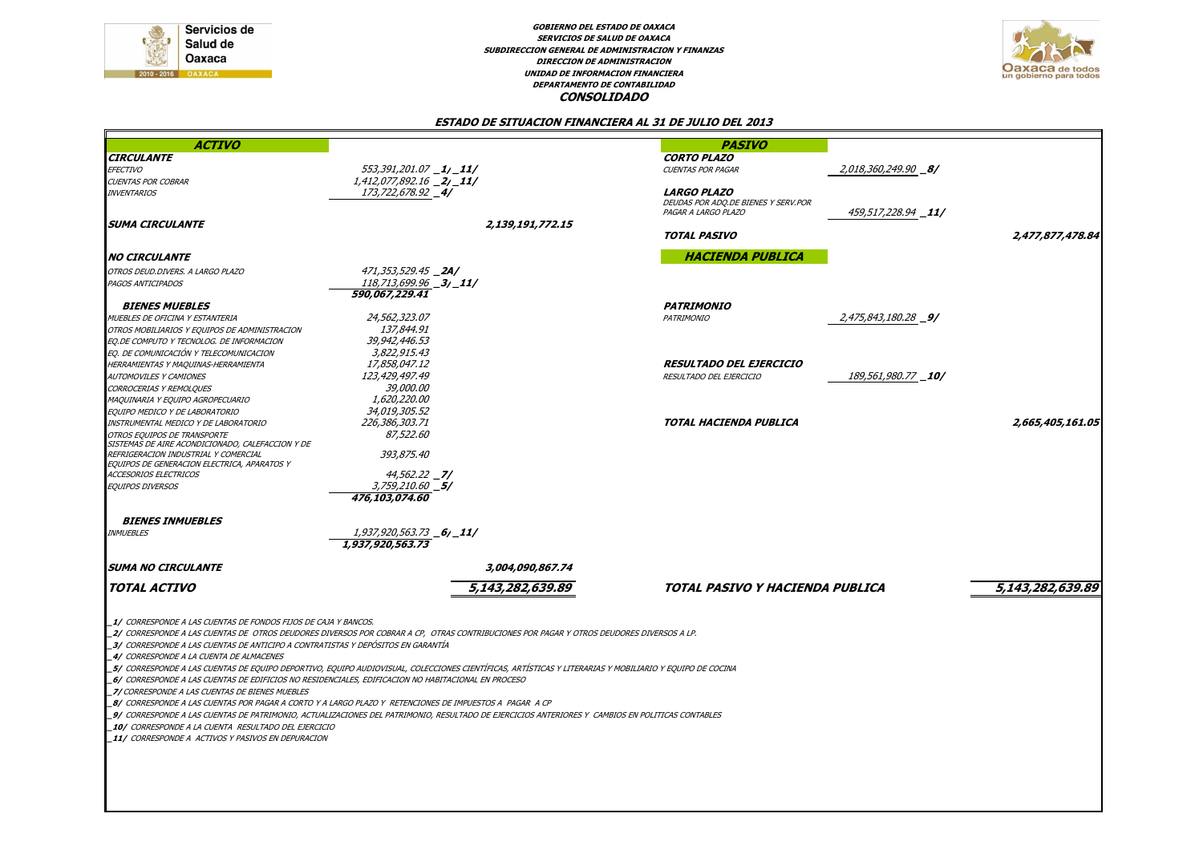

**DEPARTAMENTO DE CONTABILIDAD GOBIERNO DEL ESTADO DE OAXACA SERVICIOS DE SALUD DE OAXACA SUBDIRECCION GENERAL DE ADMINISTRACION Y FINANZASDIRECCION DE ADMINISTRACION UNIDAD DE INFORMACION FINANCIERACONSOLIDADO**



#### **ESTADO DE SITUACION FINANCIERA AL 31 DE JULIO DEL 2013**

| <b>ACTIVO</b>                                                                                                                                                                                                                                                                                                                                                                                                                                                    |                                                                                                                                                                                                                                                                                                                                                                                                                                                                                                                                                                 | <b>PASIVO</b>                       |                             |                  |
|------------------------------------------------------------------------------------------------------------------------------------------------------------------------------------------------------------------------------------------------------------------------------------------------------------------------------------------------------------------------------------------------------------------------------------------------------------------|-----------------------------------------------------------------------------------------------------------------------------------------------------------------------------------------------------------------------------------------------------------------------------------------------------------------------------------------------------------------------------------------------------------------------------------------------------------------------------------------------------------------------------------------------------------------|-------------------------------------|-----------------------------|------------------|
| <b>CIRCULANTE</b>                                                                                                                                                                                                                                                                                                                                                                                                                                                |                                                                                                                                                                                                                                                                                                                                                                                                                                                                                                                                                                 | <b>CORTO PLAZO</b>                  |                             |                  |
| EFECTIVO                                                                                                                                                                                                                                                                                                                                                                                                                                                         | 553,391,201.07 _1/_11/                                                                                                                                                                                                                                                                                                                                                                                                                                                                                                                                          | <b>CUENTAS POR PAGAR</b>            | 2,018,360,249.90 <b>_8/</b> |                  |
| <b>CUENTAS POR COBRAR</b>                                                                                                                                                                                                                                                                                                                                                                                                                                        | $1,412,077,892.16$ $2/$ $11/$                                                                                                                                                                                                                                                                                                                                                                                                                                                                                                                                   |                                     |                             |                  |
| <b>INVENTARIOS</b>                                                                                                                                                                                                                                                                                                                                                                                                                                               | 173,722,678.92 <b>_4/</b>                                                                                                                                                                                                                                                                                                                                                                                                                                                                                                                                       | <b>LARGO PLAZO</b>                  |                             |                  |
|                                                                                                                                                                                                                                                                                                                                                                                                                                                                  |                                                                                                                                                                                                                                                                                                                                                                                                                                                                                                                                                                 | DEUDAS POR ADQ.DE BIENES Y SERV.POR |                             |                  |
|                                                                                                                                                                                                                                                                                                                                                                                                                                                                  |                                                                                                                                                                                                                                                                                                                                                                                                                                                                                                                                                                 | PAGAR A LARGO PLAZO                 | 459,517,228.94 <b>_11/</b>  |                  |
| <b>SUMA CIRCULANTE</b>                                                                                                                                                                                                                                                                                                                                                                                                                                           | 2,139,191,772.15                                                                                                                                                                                                                                                                                                                                                                                                                                                                                                                                                |                                     |                             |                  |
|                                                                                                                                                                                                                                                                                                                                                                                                                                                                  |                                                                                                                                                                                                                                                                                                                                                                                                                                                                                                                                                                 | <b>TOTAL PASIVO</b>                 |                             | 2,477,877,478.84 |
|                                                                                                                                                                                                                                                                                                                                                                                                                                                                  |                                                                                                                                                                                                                                                                                                                                                                                                                                                                                                                                                                 |                                     |                             |                  |
| <b>NO CIRCULANTE</b>                                                                                                                                                                                                                                                                                                                                                                                                                                             |                                                                                                                                                                                                                                                                                                                                                                                                                                                                                                                                                                 | <b>HACIENDA PUBLICA</b>             |                             |                  |
| OTROS DEUD.DIVERS. A LARGO PLAZO                                                                                                                                                                                                                                                                                                                                                                                                                                 | 471,353,529.45 <b>_2A/</b>                                                                                                                                                                                                                                                                                                                                                                                                                                                                                                                                      |                                     |                             |                  |
| PAGOS ANTICIPADOS                                                                                                                                                                                                                                                                                                                                                                                                                                                | $118,713,699.96$ $-3/$ 11/                                                                                                                                                                                                                                                                                                                                                                                                                                                                                                                                      |                                     |                             |                  |
|                                                                                                                                                                                                                                                                                                                                                                                                                                                                  | 590,067,229.41                                                                                                                                                                                                                                                                                                                                                                                                                                                                                                                                                  |                                     |                             |                  |
| <b>BIENES MUEBLES</b>                                                                                                                                                                                                                                                                                                                                                                                                                                            |                                                                                                                                                                                                                                                                                                                                                                                                                                                                                                                                                                 | <b>PATRIMONIO</b>                   |                             |                  |
|                                                                                                                                                                                                                                                                                                                                                                                                                                                                  | 24,562,323,07                                                                                                                                                                                                                                                                                                                                                                                                                                                                                                                                                   |                                     | 2,475,843,180.28 9/         |                  |
| MUEBLES DE OFICINA Y ESTANTERIA                                                                                                                                                                                                                                                                                                                                                                                                                                  | 137,844,91                                                                                                                                                                                                                                                                                                                                                                                                                                                                                                                                                      | PATRIMONIO                          |                             |                  |
| OTROS MOBILIARIOS Y EQUIPOS DE ADMINISTRACION                                                                                                                                                                                                                                                                                                                                                                                                                    |                                                                                                                                                                                                                                                                                                                                                                                                                                                                                                                                                                 |                                     |                             |                  |
| EQ.DE COMPUTO Y TECNOLOG. DE INFORMACION                                                                                                                                                                                                                                                                                                                                                                                                                         | 39,942,446,53                                                                                                                                                                                                                                                                                                                                                                                                                                                                                                                                                   |                                     |                             |                  |
| EQ. DE COMUNICACIÓN Y TELECOMUNICACION                                                                                                                                                                                                                                                                                                                                                                                                                           | 3,822,915.43                                                                                                                                                                                                                                                                                                                                                                                                                                                                                                                                                    |                                     |                             |                  |
| HERRAMIENTAS Y MAQUINAS-HERRAMIENTA                                                                                                                                                                                                                                                                                                                                                                                                                              | 17,858,047.12                                                                                                                                                                                                                                                                                                                                                                                                                                                                                                                                                   | RESULTADO DEL EJERCICIO             |                             |                  |
| <b>AUTOMOVILES Y CAMIONES</b>                                                                                                                                                                                                                                                                                                                                                                                                                                    | 123,429,497.49                                                                                                                                                                                                                                                                                                                                                                                                                                                                                                                                                  | RESULTADO DEL EJERCICIO             | 189,561,980.77 _10/         |                  |
| CORROCERIAS Y REMOLQUES                                                                                                                                                                                                                                                                                                                                                                                                                                          | 39,000.00                                                                                                                                                                                                                                                                                                                                                                                                                                                                                                                                                       |                                     |                             |                  |
| MAQUINARIA Y EQUIPO AGROPECUARIO                                                                                                                                                                                                                                                                                                                                                                                                                                 | 1,620,220.00                                                                                                                                                                                                                                                                                                                                                                                                                                                                                                                                                    |                                     |                             |                  |
| EQUIPO MEDICO Y DE LABORATORIO                                                                                                                                                                                                                                                                                                                                                                                                                                   | 34,019,305.52                                                                                                                                                                                                                                                                                                                                                                                                                                                                                                                                                   |                                     |                             |                  |
| INSTRUMENTAL MEDICO Y DE LABORATORIO                                                                                                                                                                                                                                                                                                                                                                                                                             | 226,386,303.71                                                                                                                                                                                                                                                                                                                                                                                                                                                                                                                                                  | TOTAL HACIENDA PUBLICA              |                             | 2,665,405,161.05 |
| OTROS EQUIPOS DE TRANSPORTE                                                                                                                                                                                                                                                                                                                                                                                                                                      | 87,522.60                                                                                                                                                                                                                                                                                                                                                                                                                                                                                                                                                       |                                     |                             |                  |
| SISTEMAS DE AIRE ACONDICIONADO, CALEFACCION Y DE                                                                                                                                                                                                                                                                                                                                                                                                                 |                                                                                                                                                                                                                                                                                                                                                                                                                                                                                                                                                                 |                                     |                             |                  |
| REFRIGERACION INDUSTRIAL Y COMERCIAL                                                                                                                                                                                                                                                                                                                                                                                                                             | 393,875.40                                                                                                                                                                                                                                                                                                                                                                                                                                                                                                                                                      |                                     |                             |                  |
| EQUIPOS DE GENERACION ELECTRICA, APARATOS Y                                                                                                                                                                                                                                                                                                                                                                                                                      |                                                                                                                                                                                                                                                                                                                                                                                                                                                                                                                                                                 |                                     |                             |                  |
| <b>ACCESORIOS ELECTRICOS</b>                                                                                                                                                                                                                                                                                                                                                                                                                                     | $44,562.22$ $-7/$                                                                                                                                                                                                                                                                                                                                                                                                                                                                                                                                               |                                     |                             |                  |
| <b>EQUIPOS DIVERSOS</b>                                                                                                                                                                                                                                                                                                                                                                                                                                          | 3,759,210.60 5/                                                                                                                                                                                                                                                                                                                                                                                                                                                                                                                                                 |                                     |                             |                  |
|                                                                                                                                                                                                                                                                                                                                                                                                                                                                  | 476,103,074.60                                                                                                                                                                                                                                                                                                                                                                                                                                                                                                                                                  |                                     |                             |                  |
|                                                                                                                                                                                                                                                                                                                                                                                                                                                                  |                                                                                                                                                                                                                                                                                                                                                                                                                                                                                                                                                                 |                                     |                             |                  |
| <b>BIENES INMUEBLES</b>                                                                                                                                                                                                                                                                                                                                                                                                                                          |                                                                                                                                                                                                                                                                                                                                                                                                                                                                                                                                                                 |                                     |                             |                  |
| <b>INMUEBLES</b>                                                                                                                                                                                                                                                                                                                                                                                                                                                 | 1,937,920,563.73 <b>_6<sub>/</sub>_11/</b>                                                                                                                                                                                                                                                                                                                                                                                                                                                                                                                      |                                     |                             |                  |
|                                                                                                                                                                                                                                                                                                                                                                                                                                                                  | 1,937,920,563.73                                                                                                                                                                                                                                                                                                                                                                                                                                                                                                                                                |                                     |                             |                  |
| <b>SUMA NO CIRCULANTE</b>                                                                                                                                                                                                                                                                                                                                                                                                                                        | 3,004,090,867.74                                                                                                                                                                                                                                                                                                                                                                                                                                                                                                                                                |                                     |                             |                  |
|                                                                                                                                                                                                                                                                                                                                                                                                                                                                  |                                                                                                                                                                                                                                                                                                                                                                                                                                                                                                                                                                 |                                     |                             |                  |
| <b>TOTAL ACTIVO</b>                                                                                                                                                                                                                                                                                                                                                                                                                                              | 5,143,282,639.89                                                                                                                                                                                                                                                                                                                                                                                                                                                                                                                                                | TOTAL PASIVO Y HACIENDA PUBLICA     |                             | 5,143,282,639.89 |
|                                                                                                                                                                                                                                                                                                                                                                                                                                                                  |                                                                                                                                                                                                                                                                                                                                                                                                                                                                                                                                                                 |                                     |                             |                  |
| 1/ CORRESPONDE A LAS CUENTAS DE FONDOS FLIOS DE CAJA Y BANCOS.<br>3/ CORRESPONDE A LAS CUENTAS DE ANTICIPO A CONTRATISTAS Y DEPÓSITOS EN GARANTÍA<br>4/ CORRESPONDE A LA CUENTA DE ALMACENES<br>6/ CORRESPONDE A LAS CUENTAS DE EDIFICIOS NO RESIDENCIALES, EDIFICACION NO HABITACIONAL EN PROCESO<br>7/ CORRESPONDE A LAS CUENTAS DE BIENES MUEBLES<br>10/ CORRESPONDE A LA CUENTA RESULTADO DEL EJERCICIO<br>11/ CORRESPONDE A ACTIVOS Y PASIVOS EN DEPURACION | 2/ CORRESPONDE A LAS CUENTAS DE OTROS DEUDORES DIVERSOS POR COBRAR A CP, OTRAS CONTRIBUCIONES POR PAGAR Y OTROS DEUDORES DIVERSOS A LP.<br>5/ CORRESPONDE A LAS CUENTAS DE EQUIPO DEPORTIVO, EQUIPO AUDIOVISUAL, COLECCIONES CIENTÍFICAS, ARTÍSTICAS Y LITERARIAS Y MOBILIARIO Y EQUIPO DE COCINA<br>8/ CORRESPONDE A LAS CUENTAS POR PAGAR A CORTO Y A LARGO PLAZO Y RETENCIONES DE IMPUESTOS A PAGAR A CP<br>_9/ CORRESPONDE A LAS CUENTAS DE PATRIMONIO, ACTUALIZACIONES DEL PATRIMONIO, RESULTADO DE EJERCICIOS ANTERIORES Y CAMBIOS EN POLITICAS CONTABLES |                                     |                             |                  |
|                                                                                                                                                                                                                                                                                                                                                                                                                                                                  |                                                                                                                                                                                                                                                                                                                                                                                                                                                                                                                                                                 |                                     |                             |                  |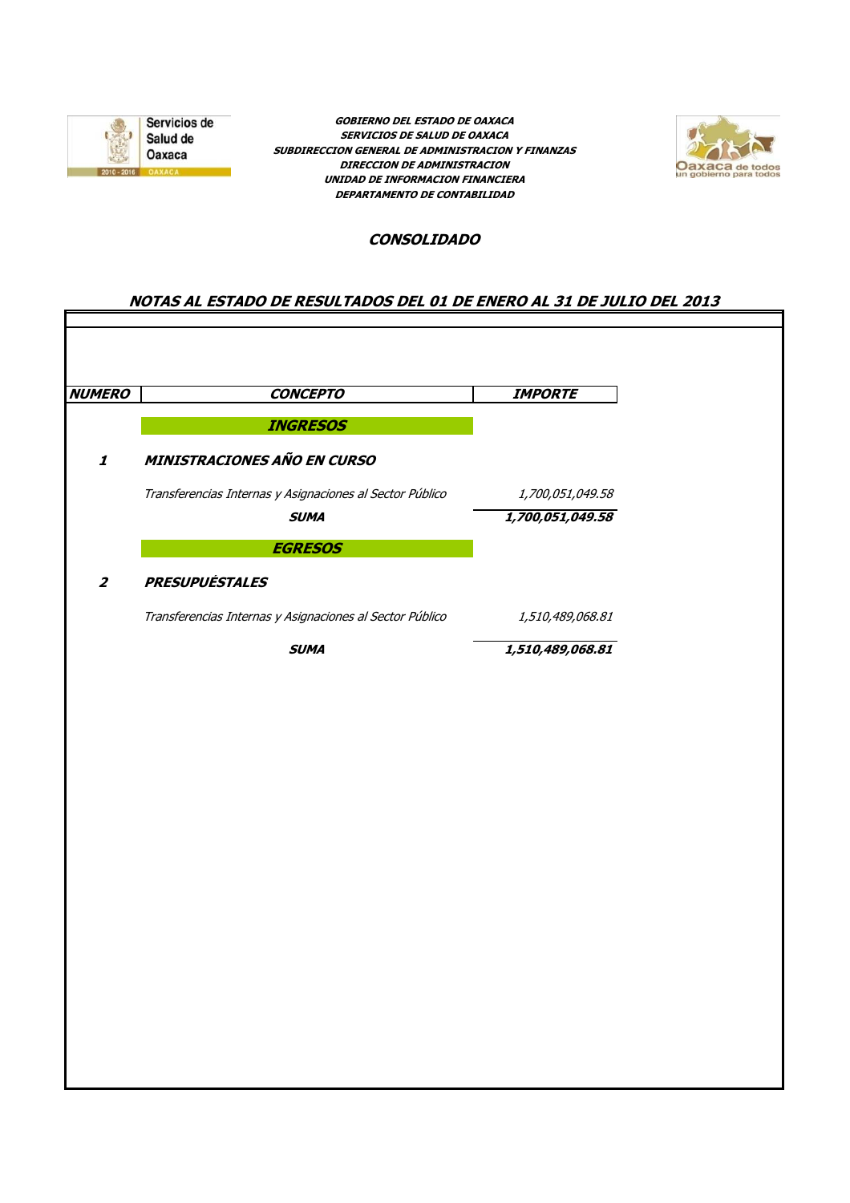

**GOBIERNO DEL ESTADO DE OAXACA SERVICIOS DE SALUD DE OAXACA SUBDIRECCION GENERAL DE ADMINISTRACION Y FINANZAS DIRECCION DE ADMINISTRACION UNIDAD DE INFORMACION FINANCIERA DEPARTAMENTO DE CONTABILIDAD**



### **CONSOLIDADO**

## **NOTAS AL ESTADO DE RESULTADOS DEL 01 DE ENERO AL 31 DE JULIO DEL 2013**

| <b>INGRESOS</b><br><b>MINISTRACIONES AÑO EN CURSO</b><br>Transferencias Internas y Asignaciones al Sector Público<br>1,700,051,049.58<br>1,700,051,049.58<br><b>SUMA</b><br><b>EGRESOS</b><br><b>PRESUPUÉSTALES</b><br>Transferencias Internas y Asignaciones al Sector Público<br>1,510,489,068.81<br>1,510,489,068.81<br><b>SUMA</b> | <b>NUMERO</b><br><b>CONCEPTO</b> | <b>IMPORTE</b> |
|----------------------------------------------------------------------------------------------------------------------------------------------------------------------------------------------------------------------------------------------------------------------------------------------------------------------------------------|----------------------------------|----------------|
| $\pmb{\mathit{1}}$<br>$\boldsymbol{z}$                                                                                                                                                                                                                                                                                                 |                                  |                |
|                                                                                                                                                                                                                                                                                                                                        |                                  |                |
|                                                                                                                                                                                                                                                                                                                                        |                                  |                |
|                                                                                                                                                                                                                                                                                                                                        |                                  |                |
|                                                                                                                                                                                                                                                                                                                                        |                                  |                |
|                                                                                                                                                                                                                                                                                                                                        |                                  |                |
|                                                                                                                                                                                                                                                                                                                                        |                                  |                |
|                                                                                                                                                                                                                                                                                                                                        |                                  |                |
|                                                                                                                                                                                                                                                                                                                                        |                                  |                |
|                                                                                                                                                                                                                                                                                                                                        |                                  |                |
|                                                                                                                                                                                                                                                                                                                                        |                                  |                |
|                                                                                                                                                                                                                                                                                                                                        |                                  |                |
|                                                                                                                                                                                                                                                                                                                                        |                                  |                |
|                                                                                                                                                                                                                                                                                                                                        |                                  |                |
|                                                                                                                                                                                                                                                                                                                                        |                                  |                |
|                                                                                                                                                                                                                                                                                                                                        |                                  |                |
|                                                                                                                                                                                                                                                                                                                                        |                                  |                |
|                                                                                                                                                                                                                                                                                                                                        |                                  |                |
|                                                                                                                                                                                                                                                                                                                                        |                                  |                |